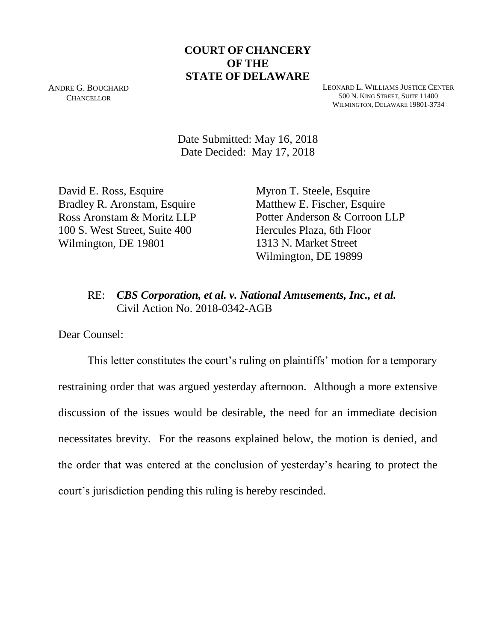## **COURT OF CHANCERY OF THE STATE OF DELAWARE**

ANDRE G. BOUCHARD **CHANCELLOR** 

LEONARD L. WILLIAMS JUSTICE CENTER 500 N. KING STREET, SUITE 11400 WILMINGTON, DELAWARE 19801-3734

Date Submitted: May 16, 2018 Date Decided: May 17, 2018

David E. Ross, Esquire Bradley R. Aronstam, Esquire Ross Aronstam & Moritz LLP 100 S. West Street, Suite 400 Wilmington, DE 19801

Myron T. Steele, Esquire Matthew E. Fischer, Esquire Potter Anderson & Corroon LLP Hercules Plaza, 6th Floor 1313 N. Market Street Wilmington, DE 19899

# RE: *CBS Corporation, et al. v. National Amusements, Inc., et al.* Civil Action No. 2018-0342-AGB

Dear Counsel:

This letter constitutes the court's ruling on plaintiffs' motion for a temporary restraining order that was argued yesterday afternoon. Although a more extensive discussion of the issues would be desirable, the need for an immediate decision necessitates brevity. For the reasons explained below, the motion is denied, and the order that was entered at the conclusion of yesterday's hearing to protect the court's jurisdiction pending this ruling is hereby rescinded.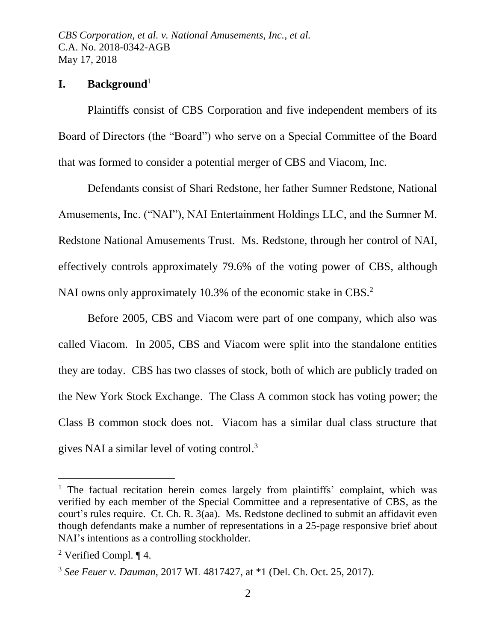## **I. Background**<sup>1</sup>

Plaintiffs consist of CBS Corporation and five independent members of its Board of Directors (the "Board") who serve on a Special Committee of the Board that was formed to consider a potential merger of CBS and Viacom, Inc.

Defendants consist of Shari Redstone, her father Sumner Redstone, National Amusements, Inc. ("NAI"), NAI Entertainment Holdings LLC, and the Sumner M. Redstone National Amusements Trust. Ms. Redstone, through her control of NAI, effectively controls approximately 79.6% of the voting power of CBS, although NAI owns only approximately 10.3% of the economic stake in CBS.<sup>2</sup>

Before 2005, CBS and Viacom were part of one company, which also was called Viacom. In 2005, CBS and Viacom were split into the standalone entities they are today. CBS has two classes of stock, both of which are publicly traded on the New York Stock Exchange. The Class A common stock has voting power; the Class B common stock does not. Viacom has a similar dual class structure that gives NAI a similar level of voting control.<sup>3</sup>

<sup>&</sup>lt;sup>1</sup> The factual recitation herein comes largely from plaintiffs' complaint, which was verified by each member of the Special Committee and a representative of CBS, as the court's rules require. Ct. Ch. R. 3(aa). Ms. Redstone declined to submit an affidavit even though defendants make a number of representations in a 25-page responsive brief about NAI's intentions as a controlling stockholder.

<sup>2</sup> Verified Compl. ¶ 4.

<sup>3</sup> *See Feuer v. Dauman*, 2017 WL 4817427, at \*1 (Del. Ch. Oct. 25, 2017).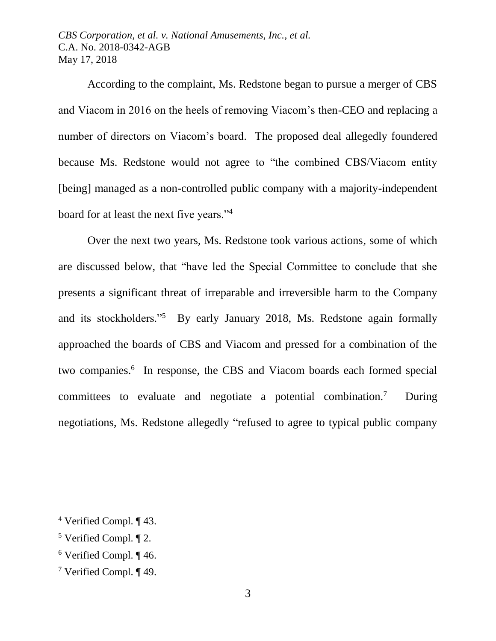According to the complaint, Ms. Redstone began to pursue a merger of CBS and Viacom in 2016 on the heels of removing Viacom's then-CEO and replacing a number of directors on Viacom's board. The proposed deal allegedly foundered because Ms. Redstone would not agree to "the combined CBS/Viacom entity [being] managed as a non-controlled public company with a majority-independent board for at least the next five years."<sup>4</sup>

Over the next two years, Ms. Redstone took various actions, some of which are discussed below, that "have led the Special Committee to conclude that she presents a significant threat of irreparable and irreversible harm to the Company and its stockholders."<sup>5</sup> By early January 2018, Ms. Redstone again formally approached the boards of CBS and Viacom and pressed for a combination of the two companies.<sup>6</sup> In response, the CBS and Viacom boards each formed special committees to evaluate and negotiate a potential combination.<sup>7</sup> During negotiations, Ms. Redstone allegedly "refused to agree to typical public company

<sup>4</sup> Verified Compl. ¶ 43.

<sup>5</sup> Verified Compl. ¶ 2.

<sup>6</sup> Verified Compl. ¶ 46.

<sup>7</sup> Verified Compl. ¶ 49.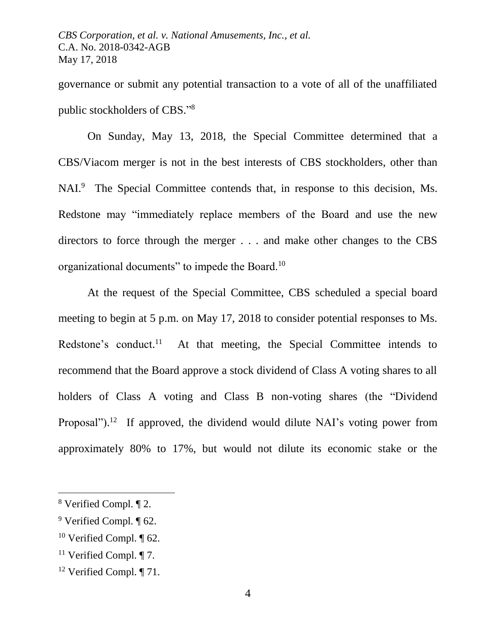governance or submit any potential transaction to a vote of all of the unaffiliated public stockholders of CBS." 8

On Sunday, May 13, 2018, the Special Committee determined that a CBS/Viacom merger is not in the best interests of CBS stockholders, other than NAI.<sup>9</sup> The Special Committee contends that, in response to this decision, Ms. Redstone may "immediately replace members of the Board and use the new directors to force through the merger . . . and make other changes to the CBS organizational documents" to impede the Board.<sup>10</sup>

At the request of the Special Committee, CBS scheduled a special board meeting to begin at 5 p.m. on May 17, 2018 to consider potential responses to Ms. Redstone's conduct. 11 At that meeting, the Special Committee intends to recommend that the Board approve a stock dividend of Class A voting shares to all holders of Class A voting and Class B non-voting shares (the "Dividend Proposal").<sup>12</sup> If approved, the dividend would dilute NAI's voting power from approximately 80% to 17%, but would not dilute its economic stake or the

<sup>8</sup> Verified Compl. ¶ 2.

 $9$  Verified Compl.  $\P$  62.

<sup>&</sup>lt;sup>10</sup> Verified Compl.  $\P$  62.

<sup>&</sup>lt;sup>11</sup> Verified Compl.  $\P$  7.

<sup>&</sup>lt;sup>12</sup> Verified Compl.  $\P$  71.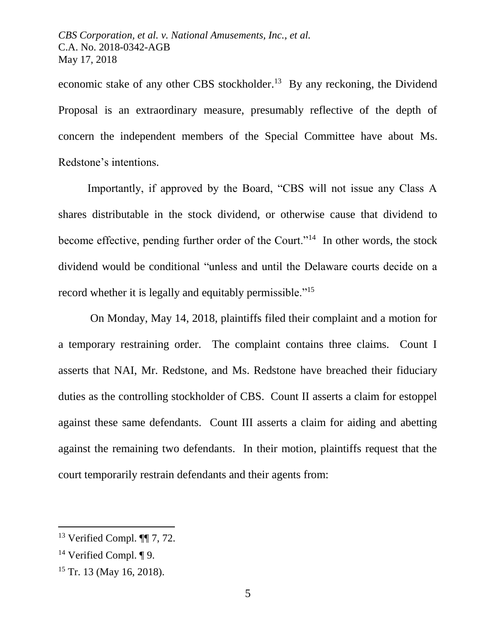economic stake of any other CBS stockholder.<sup>13</sup> By any reckoning, the Dividend Proposal is an extraordinary measure, presumably reflective of the depth of concern the independent members of the Special Committee have about Ms. Redstone's intentions.

Importantly, if approved by the Board, "CBS will not issue any Class A shares distributable in the stock dividend, or otherwise cause that dividend to become effective, pending further order of the Court."<sup>14</sup> In other words, the stock dividend would be conditional "unless and until the Delaware courts decide on a record whether it is legally and equitably permissible."<sup>15</sup>

On Monday, May 14, 2018, plaintiffs filed their complaint and a motion for a temporary restraining order. The complaint contains three claims. Count I asserts that NAI, Mr. Redstone, and Ms. Redstone have breached their fiduciary duties as the controlling stockholder of CBS. Count II asserts a claim for estoppel against these same defendants. Count III asserts a claim for aiding and abetting against the remaining two defendants. In their motion, plaintiffs request that the court temporarily restrain defendants and their agents from:

<sup>13</sup> Verified Compl. ¶¶ 7, 72.

<sup>14</sup> Verified Compl. ¶ 9.

<sup>&</sup>lt;sup>15</sup> Tr. 13 (May 16, 2018).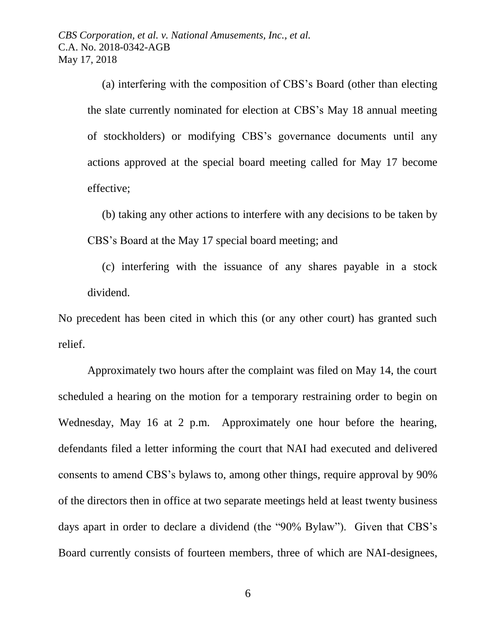> (a) interfering with the composition of CBS's Board (other than electing the slate currently nominated for election at CBS's May 18 annual meeting of stockholders) or modifying CBS's governance documents until any actions approved at the special board meeting called for May 17 become effective;

> (b) taking any other actions to interfere with any decisions to be taken by CBS's Board at the May 17 special board meeting; and

> (c) interfering with the issuance of any shares payable in a stock dividend.

No precedent has been cited in which this (or any other court) has granted such relief.

Approximately two hours after the complaint was filed on May 14, the court scheduled a hearing on the motion for a temporary restraining order to begin on Wednesday, May 16 at 2 p.m. Approximately one hour before the hearing, defendants filed a letter informing the court that NAI had executed and delivered consents to amend CBS's bylaws to, among other things, require approval by 90% of the directors then in office at two separate meetings held at least twenty business days apart in order to declare a dividend (the "90% Bylaw"). Given that CBS's Board currently consists of fourteen members, three of which are NAI-designees,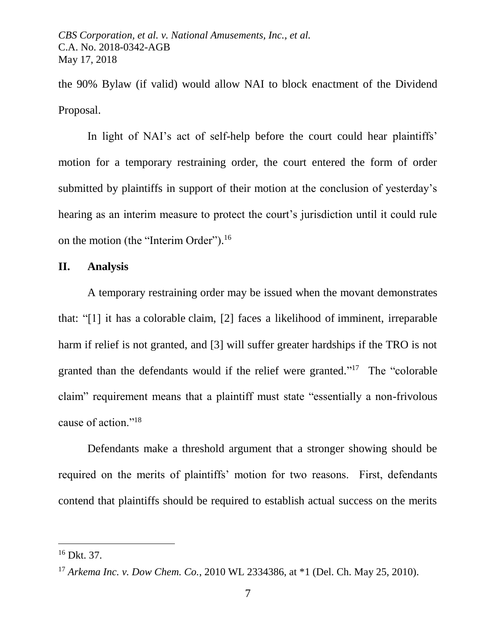the 90% Bylaw (if valid) would allow NAI to block enactment of the Dividend Proposal.

In light of NAI's act of self-help before the court could hear plaintiffs' motion for a temporary restraining order, the court entered the form of order submitted by plaintiffs in support of their motion at the conclusion of yesterday's hearing as an interim measure to protect the court's jurisdiction until it could rule on the motion (the "Interim Order").<sup>16</sup>

### **II. Analysis**

A temporary restraining order may be issued when the movant demonstrates that: "[1] it has a colorable claim, [2] faces a likelihood of imminent, irreparable harm if relief is not granted, and [3] will suffer greater hardships if the TRO is not granted than the defendants would if the relief were granted."<sup>17</sup> The "colorable claim" requirement means that a plaintiff must state "essentially a non-frivolous cause of action."<sup>18</sup>

Defendants make a threshold argument that a stronger showing should be required on the merits of plaintiffs' motion for two reasons. First, defendants contend that plaintiffs should be required to establish actual success on the merits

<sup>16</sup> Dkt. 37.

<sup>17</sup> *Arkema Inc. v. Dow Chem. Co.*, 2010 WL 2334386, at \*1 (Del. Ch. May 25, 2010).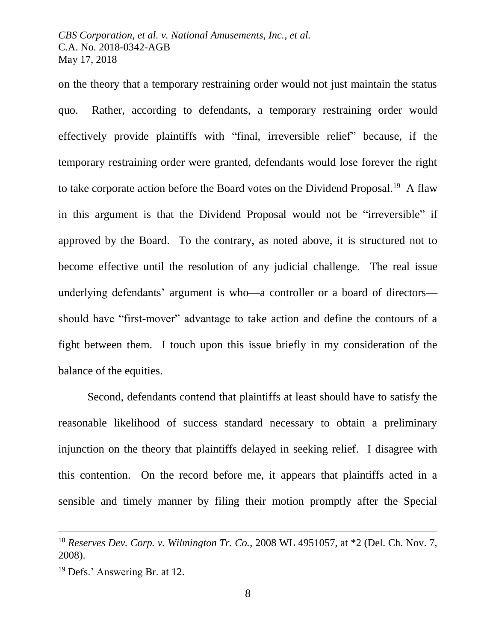on the theory that a temporary restraining order would not just maintain the status quo. Rather, according to defendants, a temporary restraining order would effectively provide plaintiffs with "final, irreversible relief" because, if the temporary restraining order were granted, defendants would lose forever the right to take corporate action before the Board votes on the Dividend Proposal.<sup>19</sup> A flaw in this argument is that the Dividend Proposal would not be "irreversible" if approved by the Board. To the contrary, as noted above, it is structured not to become effective until the resolution of any judicial challenge. The real issue underlying defendants' argument is who—a controller or a board of directors should have "first-mover" advantage to take action and define the contours of a fight between them. I touch upon this issue briefly in my consideration of the balance of the equities.

Second, defendants contend that plaintiffs at least should have to satisfy the reasonable likelihood of success standard necessary to obtain a preliminary injunction on the theory that plaintiffs delayed in seeking relief. I disagree with this contention. On the record before me, it appears that plaintiffs acted in a sensible and timely manner by filing their motion promptly after the Special

<sup>18</sup> *Reserves Dev. Corp. v. Wilmington Tr. Co.*, 2008 WL 4951057, at \*2 (Del. Ch. Nov. 7, 2008).

<sup>19</sup> Defs.' Answering Br. at 12.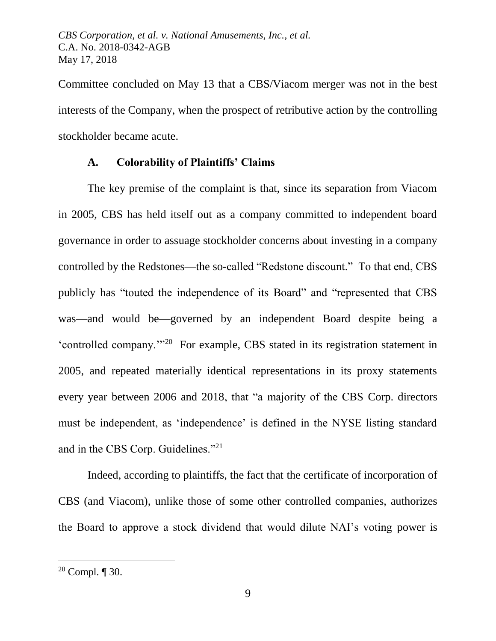Committee concluded on May 13 that a CBS/Viacom merger was not in the best interests of the Company, when the prospect of retributive action by the controlling stockholder became acute.

### **A. Colorability of Plaintiffs' Claims**

The key premise of the complaint is that, since its separation from Viacom in 2005, CBS has held itself out as a company committed to independent board governance in order to assuage stockholder concerns about investing in a company controlled by the Redstones—the so-called "Redstone discount." To that end, CBS publicly has "touted the independence of its Board" and "represented that CBS was—and would be—governed by an independent Board despite being a 'controlled company.'"<sup>20</sup> For example, CBS stated in its registration statement in 2005, and repeated materially identical representations in its proxy statements every year between 2006 and 2018, that "a majority of the CBS Corp. directors must be independent, as 'independence' is defined in the NYSE listing standard and in the CBS Corp. Guidelines."<sup>21</sup>

Indeed, according to plaintiffs, the fact that the certificate of incorporation of CBS (and Viacom), unlike those of some other controlled companies, authorizes the Board to approve a stock dividend that would dilute NAI's voting power is

<sup>&</sup>lt;sup>20</sup> Compl.  $\P$  30.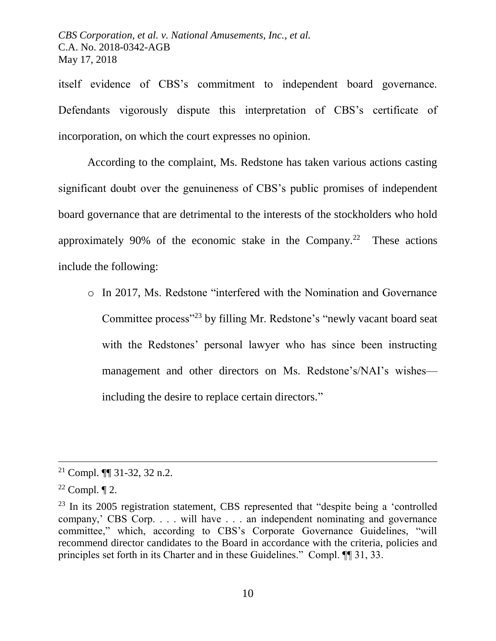itself evidence of CBS's commitment to independent board governance. Defendants vigorously dispute this interpretation of CBS's certificate of incorporation, on which the court expresses no opinion.

According to the complaint, Ms. Redstone has taken various actions casting significant doubt over the genuineness of CBS's public promises of independent board governance that are detrimental to the interests of the stockholders who hold approximately 90% of the economic stake in the Company.<sup>22</sup> These actions include the following:

o In 2017, Ms. Redstone "interfered with the Nomination and Governance Committee process"<sup>23</sup> by filling Mr. Redstone's "newly vacant board seat with the Redstones' personal lawyer who has since been instructing management and other directors on Ms. Redstone's/NAI's wishes including the desire to replace certain directors."

 $21$  Compl.  $\P$  31-32, 32 n.2.

 $22$  Compl.  $\P$  2.

 $23$  In its 2005 registration statement, CBS represented that "despite being a 'controlled company,' CBS Corp. . . . will have . . . an independent nominating and governance committee," which, according to CBS's Corporate Governance Guidelines, "will recommend director candidates to the Board in accordance with the criteria, policies and principles set forth in its Charter and in these Guidelines." Compl. ¶¶ 31, 33.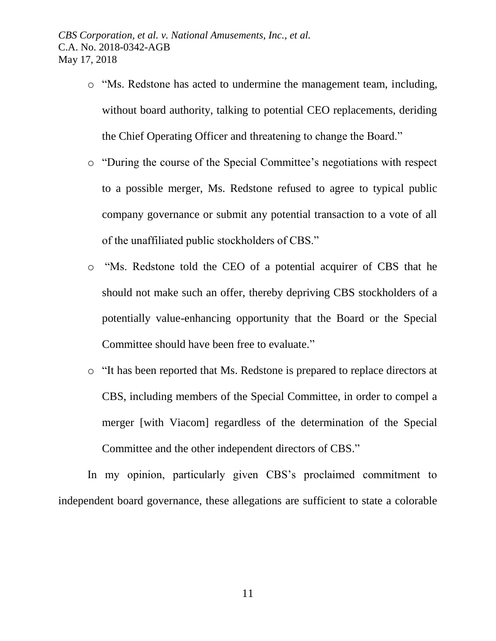- o "Ms. Redstone has acted to undermine the management team, including, without board authority, talking to potential CEO replacements, deriding the Chief Operating Officer and threatening to change the Board."
- o "During the course of the Special Committee's negotiations with respect to a possible merger, Ms. Redstone refused to agree to typical public company governance or submit any potential transaction to a vote of all of the unaffiliated public stockholders of CBS."
- o "Ms. Redstone told the CEO of a potential acquirer of CBS that he should not make such an offer, thereby depriving CBS stockholders of a potentially value-enhancing opportunity that the Board or the Special Committee should have been free to evaluate."
- o "It has been reported that Ms. Redstone is prepared to replace directors at CBS, including members of the Special Committee, in order to compel a merger [with Viacom] regardless of the determination of the Special Committee and the other independent directors of CBS."

In my opinion, particularly given CBS's proclaimed commitment to independent board governance, these allegations are sufficient to state a colorable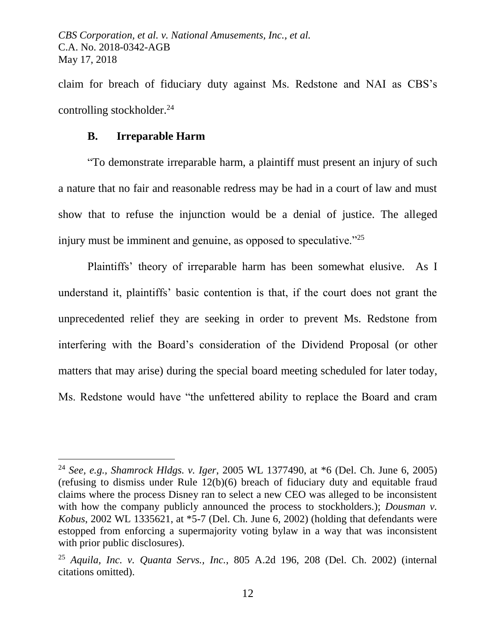claim for breach of fiduciary duty against Ms. Redstone and NAI as CBS's controlling stockholder.<sup>24</sup>

### **B. Irreparable Harm**

 $\overline{a}$ 

"To demonstrate irreparable harm, a plaintiff must present an injury of such a nature that no fair and reasonable redress may be had in a court of law and must show that to refuse the injunction would be a denial of justice. The alleged injury must be imminent and genuine, as opposed to speculative."<sup>25</sup>

Plaintiffs' theory of irreparable harm has been somewhat elusive. As I understand it, plaintiffs' basic contention is that, if the court does not grant the unprecedented relief they are seeking in order to prevent Ms. Redstone from interfering with the Board's consideration of the Dividend Proposal (or other matters that may arise) during the special board meeting scheduled for later today, Ms. Redstone would have "the unfettered ability to replace the Board and cram

<sup>24</sup> *See, e.g., Shamrock Hldgs. v. Iger*, 2005 WL 1377490, at \*6 (Del. Ch. June 6, 2005) (refusing to dismiss under Rule 12(b)(6) breach of fiduciary duty and equitable fraud claims where the process Disney ran to select a new CEO was alleged to be inconsistent with how the company publicly announced the process to stockholders.); *Dousman v. Kobus*, 2002 WL 1335621, at \*5-7 (Del. Ch. June 6, 2002) (holding that defendants were estopped from enforcing a supermajority voting bylaw in a way that was inconsistent with prior public disclosures).

<sup>25</sup> *Aquila, Inc. v. Quanta Servs., Inc.*, 805 A.2d 196, 208 (Del. Ch. 2002) (internal citations omitted).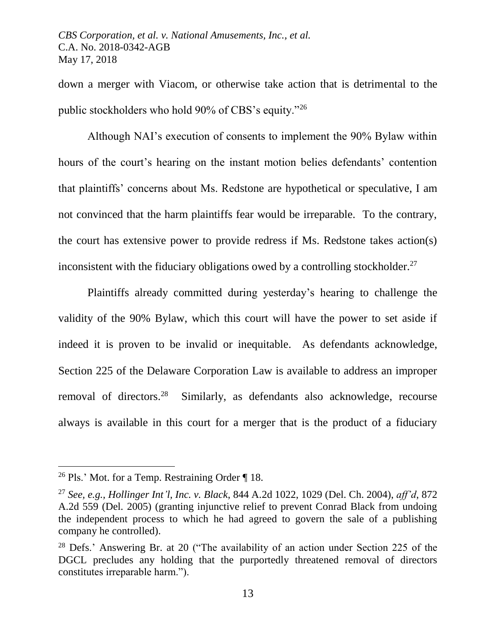down a merger with Viacom, or otherwise take action that is detrimental to the public stockholders who hold 90% of CBS's equity."<sup>26</sup>

Although NAI's execution of consents to implement the 90% Bylaw within hours of the court's hearing on the instant motion belies defendants' contention that plaintiffs' concerns about Ms. Redstone are hypothetical or speculative, I am not convinced that the harm plaintiffs fear would be irreparable. To the contrary, the court has extensive power to provide redress if Ms. Redstone takes action(s) inconsistent with the fiduciary obligations owed by a controlling stockholder.<sup>27</sup>

Plaintiffs already committed during yesterday's hearing to challenge the validity of the 90% Bylaw, which this court will have the power to set aside if indeed it is proven to be invalid or inequitable. As defendants acknowledge, Section 225 of the Delaware Corporation Law is available to address an improper removal of directors.<sup>28</sup> Similarly, as defendants also acknowledge, recourse always is available in this court for a merger that is the product of a fiduciary

<sup>&</sup>lt;sup>26</sup> Pls.' Mot. for a Temp. Restraining Order  $\P$  18.

<sup>27</sup> *See, e.g., Hollinger Int'l, Inc. v. Black*, 844 A.2d 1022, 1029 (Del. Ch. 2004), *aff'd*, 872 A.2d 559 (Del. 2005) (granting injunctive relief to prevent Conrad Black from undoing the independent process to which he had agreed to govern the sale of a publishing company he controlled).

<sup>28</sup> Defs.' Answering Br. at 20 ("The availability of an action under Section 225 of the DGCL precludes any holding that the purportedly threatened removal of directors constitutes irreparable harm.").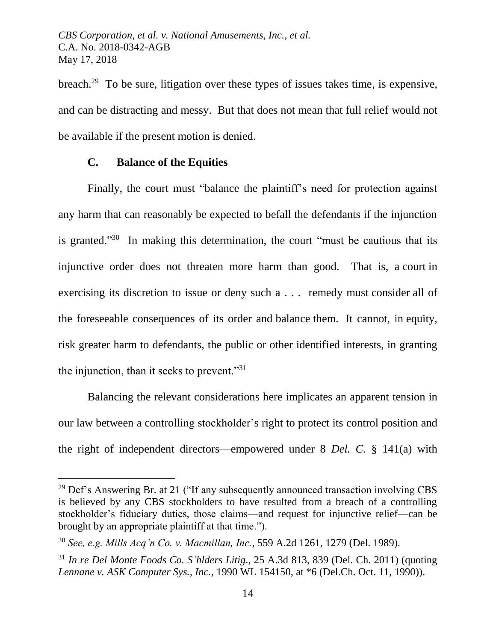breach.<sup>29</sup> To be sure, litigation over these types of issues takes time, is expensive, and can be distracting and messy. But that does not mean that full relief would not be available if the present motion is denied.

## **C. Balance of the Equities**

 $\overline{a}$ 

Finally, the court must "balance the plaintiff's need for protection against any harm that can reasonably be expected to befall the defendants if the injunction is granted."<sup>30</sup> In making this determination, the court "must be cautious that its injunctive order does not threaten more harm than good. That is, a court in exercising its discretion to issue or deny such a . . . remedy must consider all of the foreseeable consequences of its order and balance them. It cannot, in equity, risk greater harm to defendants, the public or other identified interests, in granting the injunction, than it seeks to prevent."<sup>31</sup>

Balancing the relevant considerations here implicates an apparent tension in our law between a controlling stockholder's right to protect its control position and the right of independent directors—empowered under 8 *Del. C.* § 141(a) with

 $29$  Def's Answering Br. at 21 ("If any subsequently announced transaction involving CBS is believed by any CBS stockholders to have resulted from a breach of a controlling stockholder's fiduciary duties, those claims—and request for injunctive relief—can be brought by an appropriate plaintiff at that time.").

<sup>30</sup> *See, e.g. Mills Acq'n Co. v. Macmillan, Inc.*, 559 A.2d 1261, 1279 (Del. 1989).

<sup>31</sup> *In re Del Monte Foods Co. S'hlders Litig*., 25 A.3d 813, 839 (Del. Ch. 2011) (quoting *Lennane v. ASK Computer Sys., Inc.,* 1990 WL 154150, at \*6 (Del.Ch. Oct. 11, 1990)).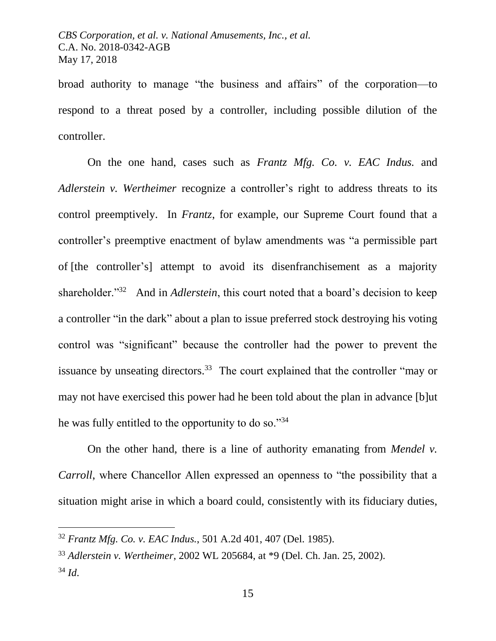broad authority to manage "the business and affairs" of the corporation—to respond to a threat posed by a controller, including possible dilution of the controller.

On the one hand, cases such as *Frantz Mfg. Co. v. EAC Indus.* and *Adlerstein v. Wertheimer* recognize a controller's right to address threats to its control preemptively. In *Frantz*, for example, our Supreme Court found that a controller's preemptive enactment of bylaw amendments was "a permissible part of [the controller's] attempt to avoid its disenfranchisement as a majority shareholder."<sup>32</sup> And in *Adlerstein*, this court noted that a board's decision to keep a controller "in the dark" about a plan to issue preferred stock destroying his voting control was "significant" because the controller had the power to prevent the issuance by unseating directors.<sup>33</sup> The court explained that the controller "may or may not have exercised this power had he been told about the plan in advance [b]ut he was fully entitled to the opportunity to do so."34

On the other hand, there is a line of authority emanating from *Mendel v. Carroll*, where Chancellor Allen expressed an openness to "the possibility that a situation might arise in which a board could, consistently with its fiduciary duties,

<sup>32</sup> *Frantz Mfg. Co. v. EAC Indus.*, 501 A.2d 401, 407 (Del. 1985).

<sup>33</sup> *Adlerstein v. Wertheimer*, 2002 WL 205684, at \*9 (Del. Ch. Jan. 25, 2002). <sup>34</sup> *Id*.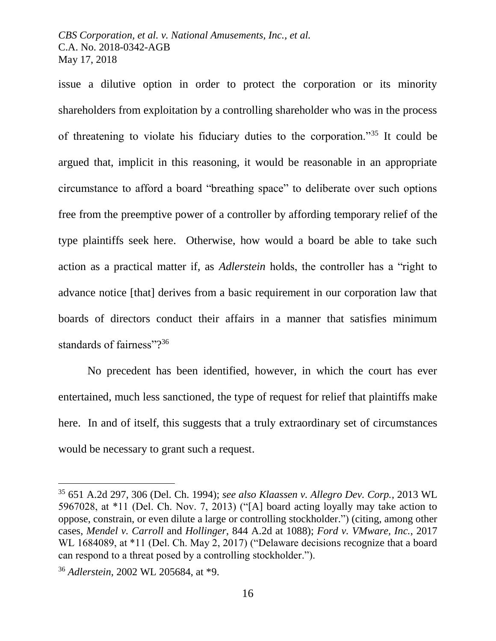issue a dilutive option in order to protect the corporation or its minority shareholders from exploitation by a controlling shareholder who was in the process of threatening to violate his fiduciary duties to the corporation."<sup>35</sup> It could be argued that, implicit in this reasoning, it would be reasonable in an appropriate circumstance to afford a board "breathing space" to deliberate over such options free from the preemptive power of a controller by affording temporary relief of the type plaintiffs seek here. Otherwise, how would a board be able to take such action as a practical matter if, as *Adlerstein* holds, the controller has a "right to advance notice [that] derives from a basic requirement in our corporation law that boards of directors conduct their affairs in a manner that satisfies minimum standards of fairness"?<sup>36</sup>

No precedent has been identified, however, in which the court has ever entertained, much less sanctioned, the type of request for relief that plaintiffs make here. In and of itself, this suggests that a truly extraordinary set of circumstances would be necessary to grant such a request.

<sup>35</sup> 651 A.2d 297, 306 (Del. Ch. 1994); *see also Klaassen v. Allegro Dev. Corp.*, 2013 WL 5967028, at \*11 (Del. Ch. Nov. 7, 2013) ("[A] board acting loyally may take action to oppose, constrain, or even dilute a large or controlling stockholder.") (citing, among other cases, *Mendel v. Carroll* and *Hollinger*, 844 A.2d at 1088); *Ford v. VMware, Inc.*, 2017 WL 1684089, at \*11 (Del. Ch. May 2, 2017) ("Delaware decisions recognize that a board can respond to a threat posed by a controlling stockholder.").

<sup>36</sup> *Adlerstein*, 2002 WL 205684, at \*9.